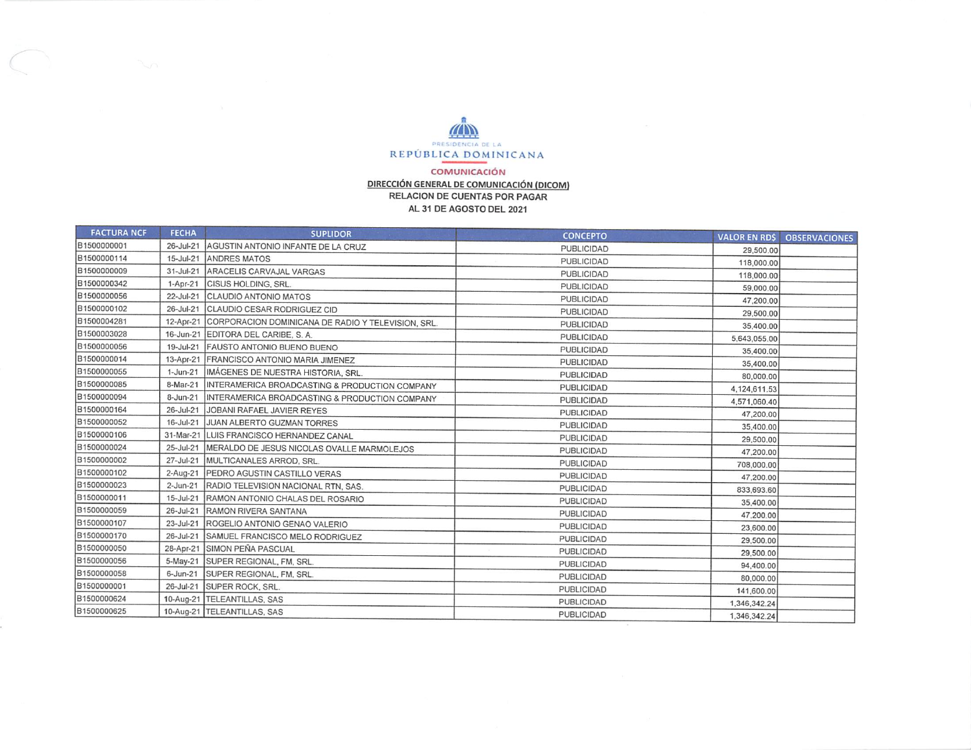

## COMUNICACIÓN DIRECCIÓN GENERAL DE COMUNICACIÓN (DICOM) RELACION DE CUENTAS POR PAGAR AL 31 DE AGOSTO DEL 2021

| <b>FACTURA NCF</b> | <b>FECHA</b>    | <b>SUPLIDOR</b>                                              | <b>CONCEPTO</b>   | <b>VALOR EN RDS</b> | <b>OBSERVACIONES</b> |
|--------------------|-----------------|--------------------------------------------------------------|-------------------|---------------------|----------------------|
| B1500000001        | $26 - Jul - 21$ | AGUSTIN ANTONIO INFANTE DE LA CRUZ                           | <b>PUBLICIDAD</b> | 29,500.00           |                      |
| B1500000114        | 15-Jul-21       | <b>JANDRES MATOS</b>                                         | <b>PUBLICIDAD</b> | 118,000.00          |                      |
| B1500000009        | $31 -$ Jul-21   | ARACELIS CARVAJAL VARGAS                                     | PUBLICIDAD        | 118,000.00          |                      |
| B1500000342        | $1-Apr-21$      | <b>CISUS HOLDING, SRL.</b>                                   | <b>PUBLICIDAD</b> | 59,000.00           |                      |
| B1500000056        | 22-Jul-21       | <b>CLAUDIO ANTONIO MATOS</b>                                 | <b>PUBLICIDAD</b> | 47,200.00           |                      |
| B1500000102        | $26$ -Jul-21    | CLAUDIO CESAR RODRIGUEZ CID                                  | <b>PUBLICIDAD</b> | 29,500.00           |                      |
| B1500004281        |                 | 12-Apr-21 CORPORACION DOMINICANA DE RADIO Y TELEVISION, SRL. | <b>PUBLICIDAD</b> | 35,400.00           |                      |
| B1500003028        |                 | 16-Jun-21 EDITORA DEL CARIBE, S.A.                           | <b>PUBLICIDAD</b> | 5,643,055.00        |                      |
| B1500000056        | 19-Jul-21       | FAUSTO ANTONIO BUENO BUENO                                   | PUBLICIDAD        | 35,400.00           |                      |
| B1500000014        |                 | 13-Apr-21 FRANCISCO ANTONIO MARIA JIMENEZ                    | <b>PUBLICIDAD</b> | 35,400.00           |                      |
| B1500000055        | $1 - Jun-21$    | IMÁGENES DE NUESTRA HISTORIA, SRL.                           | <b>PUBLICIDAD</b> | 80,000.00           |                      |
| B1500000085        | 8-Mar-21        | INTERAMERICA BROADCASTING & PRODUCTION COMPANY               | <b>PUBLICIDAD</b> | 4,124,611.53        |                      |
| B1500000094        | $8 - Jun - 21$  | INTERAMERICA BROADCASTING & PRODUCTION COMPANY               | PUBLICIDAD        | 4,571,060.40        |                      |
| B1500000164        | 26-Jul-21       | JOBANI RAFAEL JAVIER REYES                                   | <b>PUBLICIDAD</b> | 47,200.00           |                      |
| B1500000052        | 16-Jul-21       | JUAN ALBERTO GUZMAN TORRES                                   | <b>PUBLICIDAD</b> | 35,400.00           |                      |
| B1500000106        |                 | 31-Mar-21 LUIS FRANCISCO HERNANDEZ CANAL                     | <b>PUBLICIDAD</b> | 29,500.00           |                      |
| B1500000024        | 25-Jul-21       | <b>IMERALDO DE JESUS NICOLAS OVALLE MARMOLEJOS</b>           | <b>PUBLICIDAD</b> | 47,200.00           |                      |
| B1500000002        | 27-Jul-21       | MULTICANALES ARROD, SRL.                                     | <b>PUBLICIDAD</b> | 708,000.00          |                      |
| B1500000102        | $2-Auq-21$      | <b>PEDRO AGUSTIN CASTILLO VERAS</b>                          | <b>PUBLICIDAD</b> | 47,200.00           |                      |
| B1500000023        | $2$ -Jun-21     | RADIO TELEVISION NACIONAL RTN, SAS.                          | <b>PUBLICIDAD</b> | 833,693.60          |                      |
| B1500000011        | 15-Jul-21       | RAMON ANTONIO CHALAS DEL ROSARIO                             | <b>PUBLICIDAD</b> | 35,400.00           |                      |
| B1500000059        | 26-Jul-21       | RAMON RIVERA SANTANA                                         | <b>PUBLICIDAD</b> | 47,200.00           |                      |
| B1500000107        | 23-Jul-21       | ROGELIO ANTONIO GENAO VALERIO                                | <b>PUBLICIDAD</b> | 23,600.00           |                      |
| B1500000170        | 26-Jul-21       | SAMUEL FRANCISCO MELO RODRIGUEZ                              | <b>PUBLICIDAD</b> | 29,500.00           |                      |
| B1500000050        |                 | 28-Apr-21 SIMON PEÑA PASCUAL                                 | <b>PUBLICIDAD</b> | 29,500.00           |                      |
| B1500000056        |                 | 5-May-21 SUPER REGIONAL, FM, SRL.                            | <b>PUBLICIDAD</b> | 94,400.00           |                      |
| B1500000058        | $6$ -Jun-21     | SUPER REGIONAL, FM, SRL.                                     | PUBLICIDAD        | 80,000.00           |                      |
| B1500000001        | 26-Jul-21       | <b>SUPER ROCK, SRL.</b>                                      | <b>PUBLICIDAD</b> | 141,600.00          |                      |
| B1500000624        |                 | 10-Aug-21 TELEANTILLAS, SAS                                  | <b>PUBLICIDAD</b> | 1,346,342.24        |                      |
| B1500000625        |                 | 10-Aug-21 TELEANTILLAS, SAS                                  | <b>PUBLICIDAD</b> | 1,346,342.24        |                      |